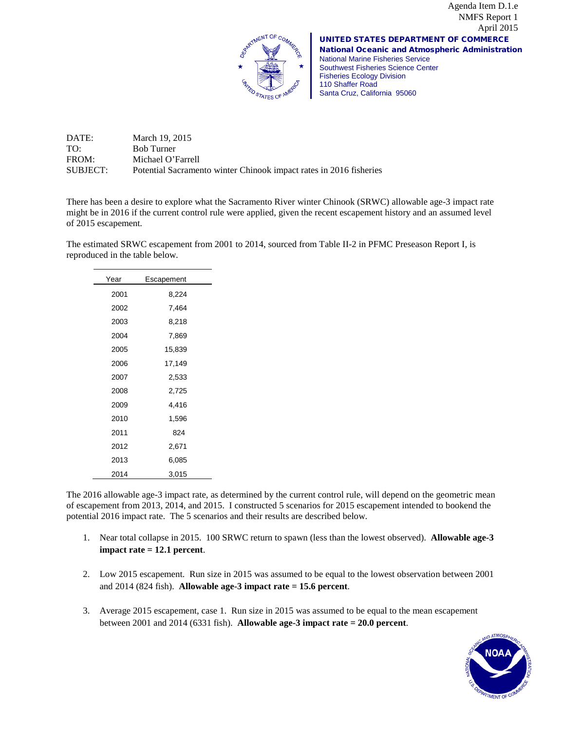

UNITED STATES DEPARTMENT OF COMMERCE National Oceanic and Atmospheric Administration National Marine Fisheries Service Southwest Fisheries Science Center Fisheries Ecology Division 110 Shaffer Road Santa Cruz, California 95060 NMFS Report 1 April 2015

Agenda Item D.1.e

| DATE:    | March 19, 2015                                                     |
|----------|--------------------------------------------------------------------|
| TO:      | <b>Bob Turner</b>                                                  |
| FROM:    | Michael O'Farrell                                                  |
| SUBJECT: | Potential Sacramento winter Chinook impact rates in 2016 fisheries |

There has been a desire to explore what the Sacramento River winter Chinook (SRWC) allowable age-3 impact rate might be in 2016 if the current control rule were applied, given the recent escapement history and an assumed level of 2015 escapement.

The estimated SRWC escapement from 2001 to 2014, sourced from Table II-2 in PFMC Preseason Report I, is reproduced in the table below.

| Year | Escapement |
|------|------------|
| 2001 | 8,224      |
| 2002 | 7,464      |
| 2003 | 8,218      |
| 2004 | 7,869      |
| 2005 | 15,839     |
| 2006 | 17,149     |
| 2007 | 2,533      |
| 2008 | 2,725      |
| 2009 | 4,416      |
| 2010 | 1,596      |
| 2011 | 824        |
| 2012 | 2,671      |
| 2013 | 6,085      |
| 2014 | 3.015      |

The 2016 allowable age-3 impact rate, as determined by the current control rule, will depend on the geometric mean of escapement from 2013, 2014, and 2015. I constructed 5 scenarios for 2015 escapement intended to bookend the potential 2016 impact rate. The 5 scenarios and their results are described below.

- 1. Near total collapse in 2015. 100 SRWC return to spawn (less than the lowest observed). **Allowable age-3 impact rate = 12.1 percent**.
- 2. Low 2015 escapement. Run size in 2015 was assumed to be equal to the lowest observation between 2001 and 2014 (824 fish). **Allowable age-3 impact rate = 15.6 percent**.
- 3. Average 2015 escapement, case 1. Run size in 2015 was assumed to be equal to the mean escapement between 2001 and 2014 (6331 fish). **Allowable age-3 impact rate = 20.0 percent**.